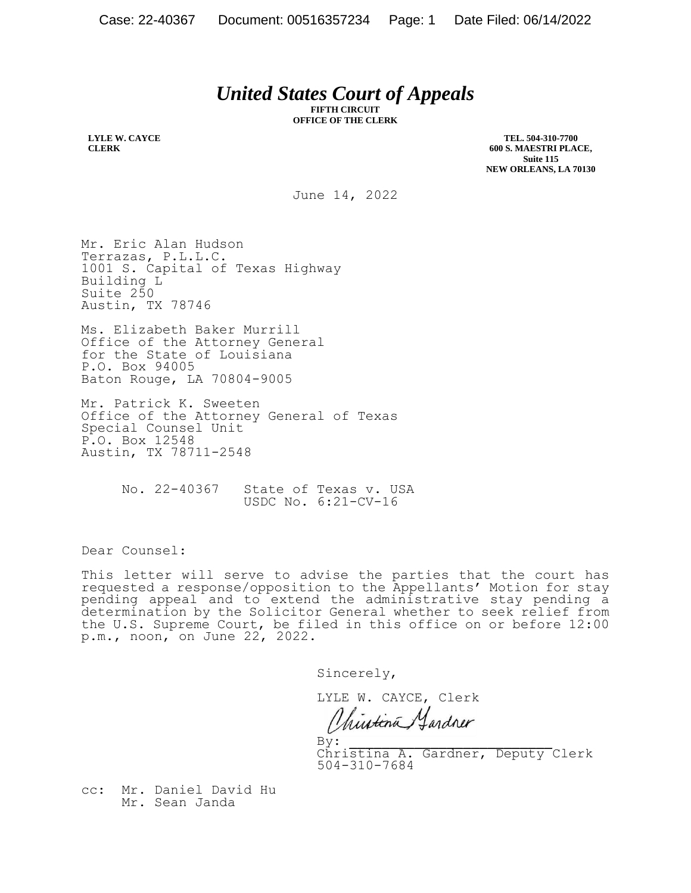## *United States Court of Appeals*

**FIFTH CIRCUIT OFFICE OF THE CLERK**

**LYLE W. CAYCE CLERK**

**TEL. 504-310-7700 600 S. MAESTRI PLACE, Suite 115 NEW ORLEANS, LA 70130**

June 14, 2022

Mr. Eric Alan Hudson Terrazas, P.L.L.C. 1001 S. Capital of Texas Highway Building L Suite 250 Austin, TX 78746

Ms. Elizabeth Baker Murrill Office of the Attorney General for the State of Louisiana P.O. Box 94005 Baton Rouge, LA 70804-9005

Mr. Patrick K. Sweeten Office of the Attorney General of Texas Special Counsel Unit P.O. Box 12548 Austin, TX 78711-2548

> No. 22-40367 State of Texas v. USA USDC No. 6:21-CV-16

Dear Counsel:

This letter will serve to advise the parties that the court has requested a response/opposition to the Appellants' Motion for stay pending appeal and to extend the administrative stay pending a determination by the Solicitor General whether to seek relief from the U.S. Supreme Court, be filed in this office on or before 12:00 p.m., noon, on June 22, 2022.

Sincerely,

LYLE W. CAYCE, Clerk

Chintina, Jardner

 $\mathbf{By:}$ Christina A. Gardner, Deputy Clerk 504-310-7684

cc: Mr. Daniel David Hu Mr. Sean Janda